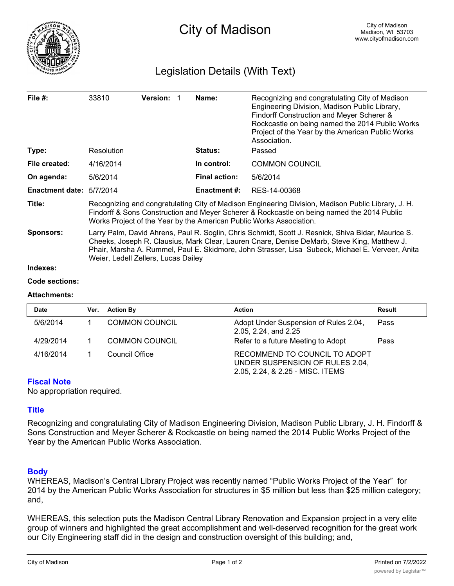

# Legislation Details (With Text)

| File $#$ :                      | 33810                                                                                                                                                                                                                                                                                                                                        | <b>Version:</b> |  | Name:                | Recognizing and congratulating City of Madison<br>Engineering Division, Madison Public Library,<br>Findorff Construction and Meyer Scherer &<br>Rockcastle on being named the 2014 Public Works<br>Project of the Year by the American Public Works<br>Association. |  |
|---------------------------------|----------------------------------------------------------------------------------------------------------------------------------------------------------------------------------------------------------------------------------------------------------------------------------------------------------------------------------------------|-----------------|--|----------------------|---------------------------------------------------------------------------------------------------------------------------------------------------------------------------------------------------------------------------------------------------------------------|--|
| Type:                           | Resolution                                                                                                                                                                                                                                                                                                                                   |                 |  | <b>Status:</b>       | Passed                                                                                                                                                                                                                                                              |  |
| File created:                   | 4/16/2014                                                                                                                                                                                                                                                                                                                                    |                 |  | In control:          | <b>COMMON COUNCIL</b>                                                                                                                                                                                                                                               |  |
| On agenda:                      | 5/6/2014                                                                                                                                                                                                                                                                                                                                     |                 |  | <b>Final action:</b> | 5/6/2014                                                                                                                                                                                                                                                            |  |
| <b>Enactment date: 5/7/2014</b> |                                                                                                                                                                                                                                                                                                                                              |                 |  | <b>Enactment #:</b>  | RES-14-00368                                                                                                                                                                                                                                                        |  |
| Title:                          | Recognizing and congratulating City of Madison Engineering Division, Madison Public Library, J. H.<br>Findorff & Sons Construction and Meyer Scherer & Rockcastle on being named the 2014 Public<br>Works Project of the Year by the American Public Works Association.                                                                      |                 |  |                      |                                                                                                                                                                                                                                                                     |  |
| <b>Sponsors:</b>                | Larry Palm, David Ahrens, Paul R. Soglin, Chris Schmidt, Scott J. Resnick, Shiva Bidar, Maurice S.<br>Cheeks, Joseph R. Clausius, Mark Clear, Lauren Cnare, Denise DeMarb, Steve King, Matthew J.<br>Phair, Marsha A. Rummel, Paul E. Skidmore, John Strasser, Lisa Subeck, Michael E. Verveer, Anita<br>Weier, Ledell Zellers, Lucas Dailey |                 |  |                      |                                                                                                                                                                                                                                                                     |  |
| Indexes:                        |                                                                                                                                                                                                                                                                                                                                              |                 |  |                      |                                                                                                                                                                                                                                                                     |  |

#### **Code sections:**

### **Attachments:**

| <b>Date</b> | Ver. | <b>Action By</b>      | <b>Action</b>                                                                                        | <b>Result</b> |
|-------------|------|-----------------------|------------------------------------------------------------------------------------------------------|---------------|
| 5/6/2014    |      | <b>COMMON COUNCIL</b> | Adopt Under Suspension of Rules 2.04,<br>2.05, 2.24, and 2.25                                        | Pass          |
| 4/29/2014   |      | <b>COMMON COUNCIL</b> | Refer to a future Meeting to Adopt                                                                   | Pass          |
| 4/16/2014   |      | Council Office        | RECOMMEND TO COUNCIL TO ADOPT<br>UNDER SUSPENSION OF RULES 2.04,<br>2.05, 2.24, & 2.25 - MISC. ITEMS |               |

### **Fiscal Note**

No appropriation required.

## **Title**

Recognizing and congratulating City of Madison Engineering Division, Madison Public Library, J. H. Findorff & Sons Construction and Meyer Scherer & Rockcastle on being named the 2014 Public Works Project of the Year by the American Public Works Association.

## **Body**

WHEREAS, Madison's Central Library Project was recently named "Public Works Project of the Year" for 2014 by the American Public Works Association for structures in \$5 million but less than \$25 million category; and,

WHEREAS, this selection puts the Madison Central Library Renovation and Expansion project in a very elite group of winners and highlighted the great accomplishment and well-deserved recognition for the great work our City Engineering staff did in the design and construction oversight of this building; and,